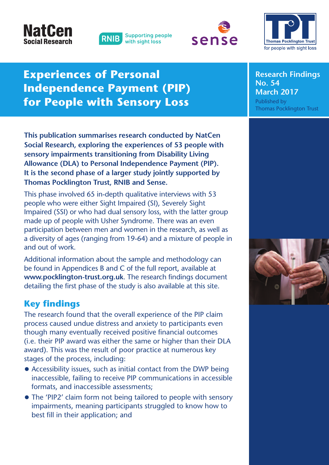# **NatCe Social Research**







# **Experiences of Personal Independence Payment (PIP) for People with Sensory Loss**

**This publication summarises research conducted by NatCen Social Research, exploring the experiences of 53 people with sensory impairments transitioning from Disability Living Allowance (DLA) to Personal Independence Payment (PIP). It is the second phase of a larger study jointly supported by Thomas Pocklington Trust, RNIB and Sense.**

This phase involved 65 in-depth qualitative interviews with 53 people who were either Sight Impaired (SI), Severely Sight Impaired (SSI) or who had dual sensory loss, with the latter group made up of people with Usher Syndrome. There was an even participation between men and women in the research, as well as a diversity of ages (ranging from 19-64) and a mixture of people in and out of work.

Additional information about the sample and methodology can be found in Appendices B and C of the full report, available at **www.pocklington-trust.org.uk**. The research findings document detailing the first phase of the study is also available at this site.

# **Key findings**

The research found that the overall experience of the PIP claim process caused undue distress and anxiety to participants even though many eventually received positive financial outcomes (i.e. their PIP award was either the same or higher than their DLA award). This was the result of poor practice at numerous key stages of the process, including:

- Accessibility issues, such as initial contact from the DWP being inaccessible, failing to receive PIP communications in accessible formats, and inaccessible assessments;
- The 'PIP2' claim form not being tailored to people with sensory impairments, meaning participants struggled to know how to best fill in their application; and

**Research Findings No. 54 March 2017** Published by Thomas Pocklington Trust

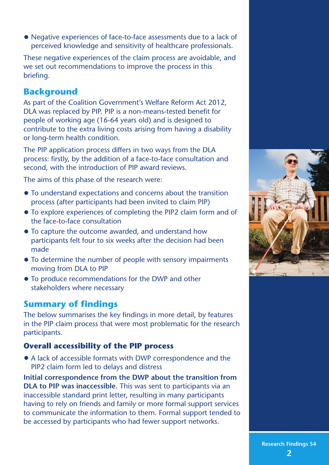• Negative experiences of face-to-face assessments due to <sup>a</sup> lack of perceived knowledge and sensitivity of healthcare professionals.

These negative experiences of the claim process are avoidable, and we set out recommendations to improve the process in this briefing.

# **Background**

As part of the Coalition Government's Welfare Reform Act 2012, DLA was replaced by PIP. PIP is a non-means-tested benefit for people of working age (16-64 years old) and is designed to contribute to the extra living costs arising from having a disability or long-term health condition.

The PIP application process differs in two ways from the DLA process: firstly, by the addition of a face-to-face consultation and second, with the introduction of PIP award reviews.

The aims of this phase of the research were:

- To understand expectations and concerns about the transition process (after participants had been invited to claim PIP)
- To explore experiences of completing the PIP2 claim form and of the face-to-face consultation
- To capture the outcome awarded, and understand how participants felt four to six weeks after the decision had been made
- To determine the number of people with sensory impairments moving from DLA to PIP
- To produce recommendations for the DWP and other stakeholders where necessary

# **Summary of findings**

The below summarises the key findings in more detail, by features in the PIP claim process that were most problematic for the research participants.

### **Overall accessibility of the PIP process**

• A lack of accessible formats with DWP correspondence and the PIP2 claim form led to delays and distress

**Initial correspondence from the DWP about the transition from DLA to PIP was inaccessible.** This was sent to participants via an inaccessible standard print letter, resulting in many participants having to rely on friends and family or more formal support services to communicate the information to them. Formal support tended to be accessed by participants who had fewer support networks.



**Research Findings 54 2**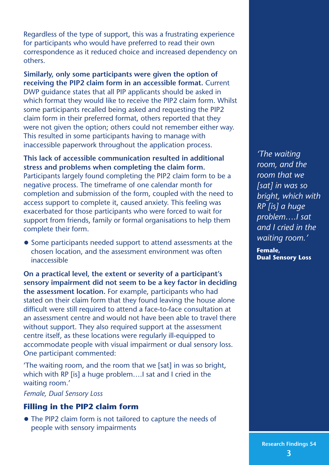Regardless of the type of support, this was a frustrating experience for participants who would have preferred to read their own correspondence as it reduced choice and increased dependency on others.

**Similarly, only some participants were given the option of receiving the PIP2 claim form in an accessible format.** Current DWP guidance states that all PIP applicants should be asked in which format they would like to receive the PIP2 claim form. Whilst some participants recalled being asked and requesting the PIP2 claim form in their preferred format, others reported that they were not given the option; others could not remember either way. This resulted in some participants having to manage with inaccessible paperwork throughout the application process.

**This lack of accessible communication resulted in additional stress and problems when completing the claim form.**

Participants largely found completing the PIP2 claim form to be a negative process. The timeframe of one calendar month for completion and submission of the form, coupled with the need to access support to complete it, caused anxiety. This feeling was exacerbated for those participants who were forced to wait for support from friends, family or formal organisations to help them complete their form.

• Some participants needed support to attend assessments at the chosen location, and the assessment environment was often inaccessible

**On a practical level, the extent or severity of a participant's sensory impairment did not seem to be a key factor in deciding the assessment location.** For example, participants who had stated on their claim form that they found leaving the house alone difficult were still required to attend a face-to-face consultation at an assessment centre and would not have been able to travel there without support. They also required support at the assessment centre itself, as these locations were regularly ill-equipped to accommodate people with visual impairment or dual sensory loss. One participant commented:

'The waiting room, and the room that we [sat] in was so bright, which with RP [is] a huge problem….I sat and I cried in the waiting room.'

*Female, Dual Sensory Loss*

#### **Filling in the PIP2 claim form**

• The PIP2 claim form is not tailored to capture the needs of people with sensory impairments

*'The waiting room, and the room that we [sat] in was so bright, which with RP [is] a huge problem….I sat and I cried in the waiting room.'*

**Female, Dual Sensory Loss**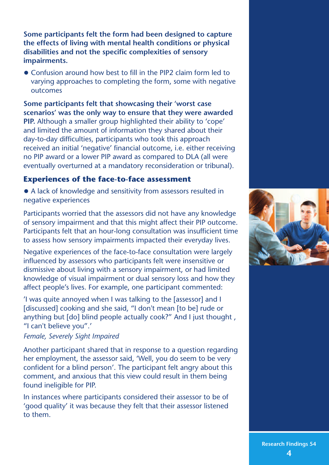**Some participants felt the form had been designed to capture the effects of living with mental health conditions or physical disabilities and not the specific complexities of sensory impairments.**

• Confusion around how best to fill in the PIP2 claim form led to varying approaches to completing the form, some with negative outcomes

**Some participants felt that showcasing their 'worst case scenarios' was the only way to ensure that they were awarded PIP.** Although a smaller group highlighted their ability to 'cope' and limited the amount of information they shared about their day-to-day difficulties, participants who took this approach received an initial 'negative' financial outcome, i.e. either receiving no PIP award or a lower PIP award as compared to DLA (all were eventually overturned at a mandatory reconsideration or tribunal).

#### **Experiences of the face-to-face assessment**

• <sup>A</sup> lack of knowledge and sensitivity from assessors resulted in negative experiences

Participants worried that the assessors did not have any knowledge of sensory impairment and that this might affect their PIP outcome. Participants felt that an hour-long consultation was insufficient time to assess how sensory impairments impacted their everyday lives.

Negative experiences of the face-to-face consultation were largely influenced by assessors who participants felt were insensitive or dismissive about living with a sensory impairment, or had limited knowledge of visual impairment or dual sensory loss and how they affect people's lives. For example, one participant commented:

'I was quite annoyed when I was talking to the [assessor] and I [discussed] cooking and she said, "I don't mean [to be] rude or anything but [do] blind people actually cook?" And I just thought, "I can't believe you".'

*Female, Severely Sight Impaired*

Another participant shared that in response to a question regarding her employment, the assessor said, 'Well, you do seem to be very confident for a blind person'. The participant felt angry about this comment, and anxious that this view could result in them being found ineligible for PIP.

In instances where participants considered their assessor to be of 'good quality' it was because they felt that their assessor listened to them.

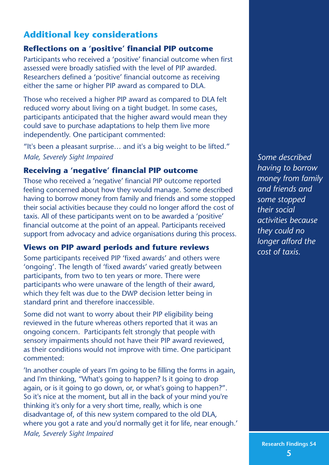# **Additional key considerations**

#### **Reflections on a 'positive' financial PIP outcome**

Participants who received a 'positive' financial outcome when first assessed were broadly satisfied with the level of PIP awarded. Researchers defined a 'positive' financial outcome as receiving either the same or higher PIP award as compared to DLA.

Those who received a higher PIP award as compared to DLA felt reduced worry about living on a tight budget. In some cases, participants anticipated that the higher award would mean they could save to purchase adaptations to help them live more independently. One participant commented:

"It's been a pleasant surprise… and it's a big weight to be lifted." *Male, Severely Sight Impaired*

#### **Receiving a 'negative' financial PIP outcome**

Those who received a 'negative' financial PIP outcome reported feeling concerned about how they would manage. Some described having to borrow money from family and friends and some stopped their social activities because they could no longer afford the cost of taxis. All of these participants went on to be awarded a 'positive' financial outcome at the point of an appeal. Participants received support from advocacy and advice organisations during this process.

#### **Views on PIP award periods and future reviews**

Some participants received PIP 'fixed awards' and others were 'ongoing'. The length of 'fixed awards' varied greatly between participants, from two to ten years or more. There were participants who were unaware of the length of their award, which they felt was due to the DWP decision letter being in standard print and therefore inaccessible.

Some did not want to worry about their PIP eligibility being reviewed in the future whereas others reported that it was an ongoing concern. Participants felt strongly that people with sensory impairments should not have their PIP award reviewed, as their conditions would not improve with time. One participant commented:

'In another couple of years I'm going to be filling the forms in again, and I'm thinking, "What's going to happen? Is it going to drop again, or is it going to go down, or, or what's going to happen?". So it's nice at the moment, but all in the back of your mind you're thinking it's only for a very short time, really, which is one disadvantage of, of this new system compared to the old DLA, where you got a rate and you'd normally get it for life, near enough.' *Male, Severely Sight Impaired*

*Some described having to borrow money from family and friends and some stopped their social activities because they could no longer afford the cost of taxis.*

**Research Findings 54 5**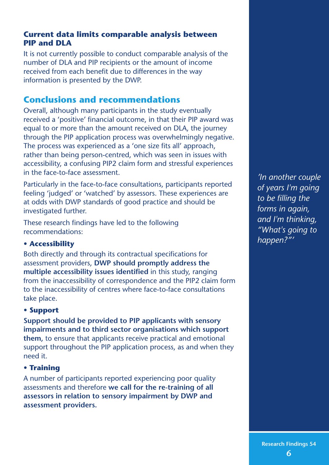#### **Current data limits comparable analysis between PIP and DLA**

It is not currently possible to conduct comparable analysis of the number of DLA and PIP recipients or the amount of income received from each benefit due to differences in the way information is presented by the DWP.

## **Conclusions and recommendations**

Overall, although many participants in the study eventually received a 'positive' financial outcome, in that their PIP award was equal to or more than the amount received on DLA, the journey through the PIP application process was overwhelmingly negative. The process was experienced as a 'one size fits all' approach, rather than being person-centred, which was seen in issues with accessibility, a confusing PIP2 claim form and stressful experiences in the face-to-face assessment.

Particularly in the face-to-face consultations, participants reported feeling 'judged' or 'watched' by assessors. These experiences are at odds with DWP standards of good practice and should be investigated further.

These research findings have led to the following recommendations:

#### **• Accessibility**

Both directly and through its contractual specifications for assessment providers, **DWP should promptly address the multiple accessibility issues identified** in this study, ranging from the inaccessibility of correspondence and the PIP2 claim form to the inaccessibility of centres where face-to-face consultations take place.

#### **• Support**

**Support should be provided to PIP applicants with sensory impairments and to third sector organisations which support them,** to ensure that applicants receive practical and emotional support throughout the PIP application process, as and when they need it.

#### **• Training**

A number of participants reported experiencing poor quality assessments and therefore **we call for the re-training of all assessors in relation to sensory impairment by DWP and assessment providers.**

*'In another couple of years I'm going to be filling the forms in again, and I'm thinking, "What's going to happen?"'*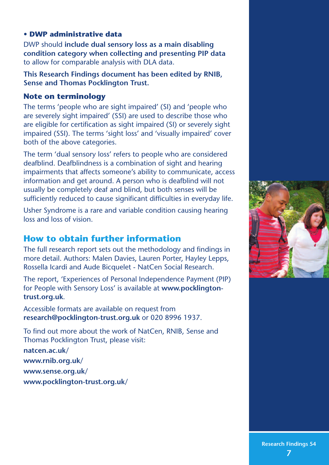#### **• DWP administrative data**

DWP should **include dual sensory loss as a main disabling condition category when collecting and presenting PIP data** to allow for comparable analysis with DLA data.

**This Research Findings document has been edited by RNIB, Sense and Thomas Pocklington Trust.**

#### **Note on terminology**

The terms 'people who are sight impaired' (SI) and 'people who are severely sight impaired' (SSI) are used to describe those who are eligible for certification as sight impaired (SI) or severely sight impaired (SSI). The terms 'sight loss' and 'visually impaired' cover both of the above categories.

The term 'dual sensory loss' refers to people who are considered deafblind. Deafblindness is a combination of sight and hearing impairments that affects someone's ability to communicate, access information and get around. A person who is deafblind will not usually be completely deaf and blind, but both senses will be sufficiently reduced to cause significant difficulties in everyday life.

Usher Syndrome is a rare and variable condition causing hearing loss and loss of vision.

# **How to obtain further information**

The full research report sets out the methodology and findings in more detail. Authors: Malen Davies, Lauren Porter, Hayley Lepps, Rossella Icardi and Aude Bicquelet - NatCen Social Research.

The report, 'Experiences of Personal Independence Payment (PIP) for People with Sensory Loss' is available at **www.pocklingtontrust.org.uk**.

Accessible formats are available on request from **research@pocklington-trust.org.uk** or 020 8996 1937.

To find out more about the work of NatCen, RNIB, Sense and Thomas Pocklington Trust, please visit:

**natcen.ac.uk/ www.rnib.org.uk/ www.sense.org.uk/ www.pocklington-trust.org.uk/**



**Research Findings 54 7**